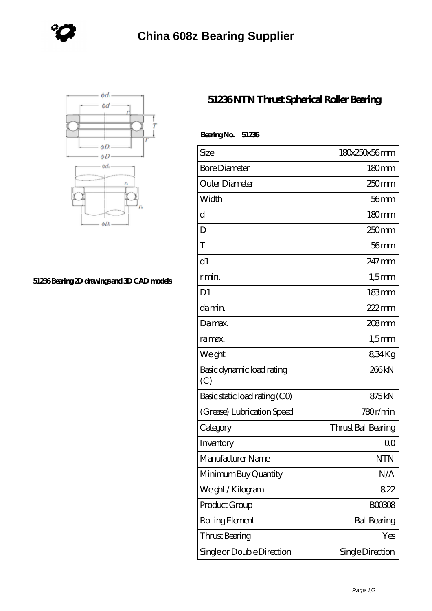



## **[51236 Bearing 2D drawings and 3D CAD models](https://www.holyland-wholesale.com/pic-1113998.html)**

## **[51236 NTN Thrust Spherical Roller Bearing](https://www.holyland-wholesale.com/tapered-roller-bearing/51236.html)**

| BearingNo.<br>51236              |                     |
|----------------------------------|---------------------|
| Size                             | 180x250x56mm        |
| <b>Bore Diameter</b>             | $180 \text{mm}$     |
| Outer Diameter                   | 250 <sub>mm</sub>   |
| Width                            | $56$ mm             |
| d                                | 180mm               |
| D                                | 250 <sub>mm</sub>   |
| T                                | $56$ mm             |
| d1                               | $247 \text{mm}$     |
| r min.                           | $1,5$ mm            |
| D <sub>1</sub>                   | $183 \text{mm}$     |
| da min.                          | $222$ mm            |
| Damax.                           | 208mm               |
| ra max.                          | $1,5$ mm            |
| Weight                           | 834Kg               |
| Basic dynamic load rating<br>(C) | 266kN               |
| Basic static load rating (CO)    | 875kN               |
| (Grease) Lubrication Speed       | 780r/min            |
| Category                         | Thrust Ball Bearing |
| Inventory                        | 0 <sup>0</sup>      |
| Manufacturer Name                | NTN                 |
| Minimum Buy Quantity             | N/A                 |
| Weight / Kilogram                | 822                 |
| Product Group                    | <b>BOO3O8</b>       |
| Rolling Element                  | <b>Ball Bearing</b> |
| Thrust Bearing                   | Yes                 |
| Single or Double Direction       | Single Direction    |